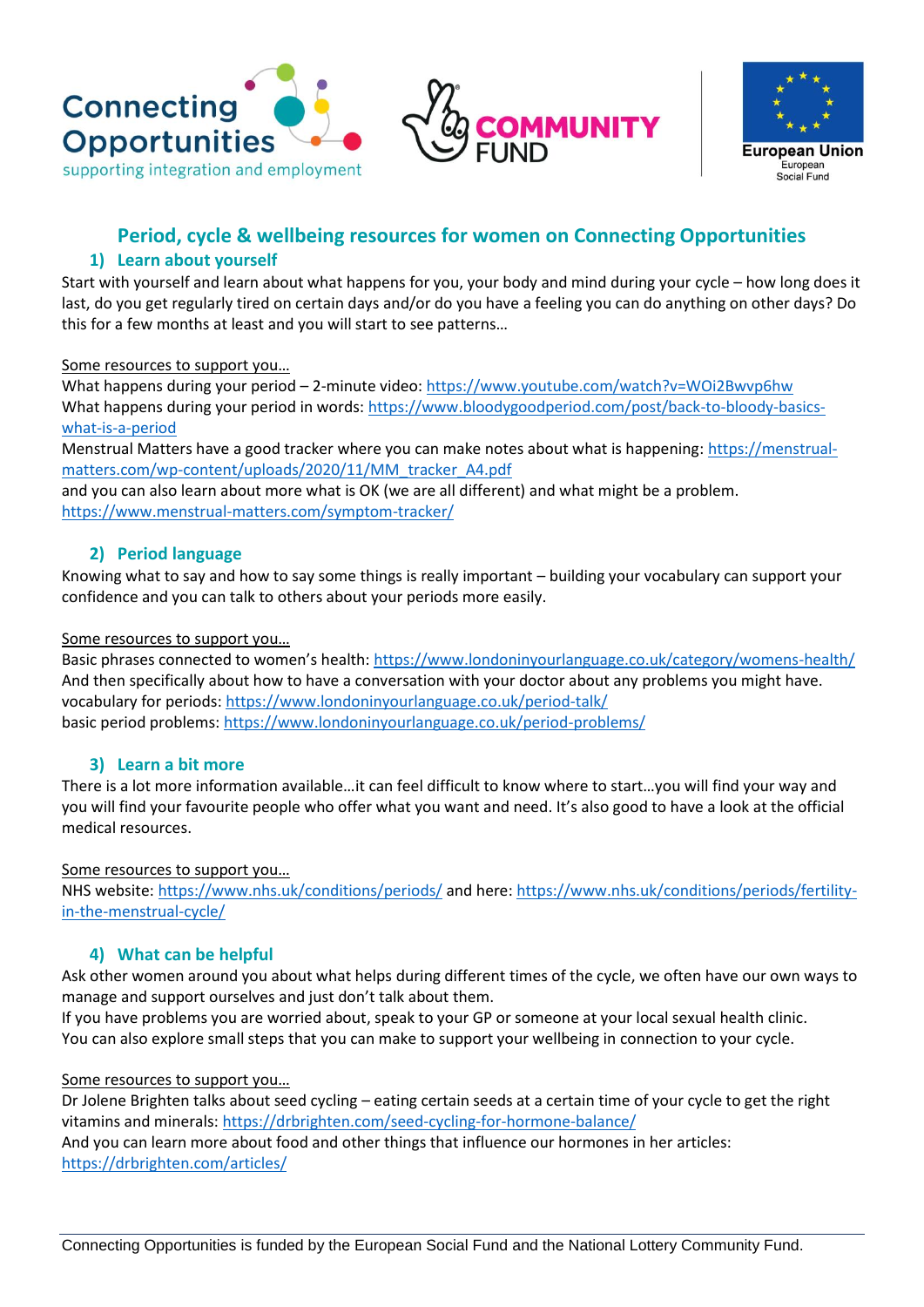





# **Period, cycle & wellbeing resources for women on Connecting Opportunities**

# **1) Learn about yourself**

Start with yourself and learn about what happens for you, your body and mind during your cycle – how long does it last, do you get regularly tired on certain days and/or do you have a feeling you can do anything on other days? Do this for a few months at least and you will start to see patterns…

#### Some resources to support you…

What happens during your period – 2-minute video: <https://www.youtube.com/watch?v=WOi2Bwvp6hw> What happens during your period in words: [https://www.bloodygoodperiod.com/post/back-to-bloody-basics](https://www.bloodygoodperiod.com/post/back-to-bloody-basics-what-is-a-period)[what-is-a-period](https://www.bloodygoodperiod.com/post/back-to-bloody-basics-what-is-a-period)

Menstrual Matters have a good tracker where you can make notes about what is happening: [https://menstrual](https://menstrual-matters.com/wp-content/uploads/2020/11/MM_tracker_A4.pdf)[matters.com/wp-content/uploads/2020/11/MM\\_tracker\\_A4.pdf](https://menstrual-matters.com/wp-content/uploads/2020/11/MM_tracker_A4.pdf)

and you can also learn about more what is OK (we are all different) and what might be a problem. <https://www.menstrual-matters.com/symptom-tracker/>

# **2) Period language**

Knowing what to say and how to say some things is really important – building your vocabulary can support your confidence and you can talk to others about your periods more easily.

#### Some resources to support you…

Basic phrases connected to women's health: <https://www.londoninyourlanguage.co.uk/category/womens-health/> And then specifically about how to have a conversation with your doctor about any problems you might have. vocabulary for periods[: https://www.londoninyourlanguage.co.uk/period-talk/](https://www.londoninyourlanguage.co.uk/period-talk/) basic period problems:<https://www.londoninyourlanguage.co.uk/period-problems/>

### **3) Learn a bit more**

There is a lot more information available…it can feel difficult to know where to start…you will find your way and you will find your favourite people who offer what you want and need. It's also good to have a look at the official medical resources.

### Some resources to support you…

NHS website[: https://www.nhs.uk/conditions/periods/](https://www.nhs.uk/conditions/periods/) and here: [https://www.nhs.uk/conditions/periods/fertility](https://www.nhs.uk/conditions/periods/fertility-in-the-menstrual-cycle/)[in-the-menstrual-cycle/](https://www.nhs.uk/conditions/periods/fertility-in-the-menstrual-cycle/)

### **4) What can be helpful**

Ask other women around you about what helps during different times of the cycle, we often have our own ways to manage and support ourselves and just don't talk about them.

If you have problems you are worried about, speak to your GP or someone at your local sexual health clinic. You can also explore small steps that you can make to support your wellbeing in connection to your cycle.

### Some resources to support you…

Dr Jolene Brighten talks about seed cycling – eating certain seeds at a certain time of your cycle to get the right vitamins and minerals:<https://drbrighten.com/seed-cycling-for-hormone-balance/> And you can learn more about food and other things that influence our hormones in her articles: <https://drbrighten.com/articles/>